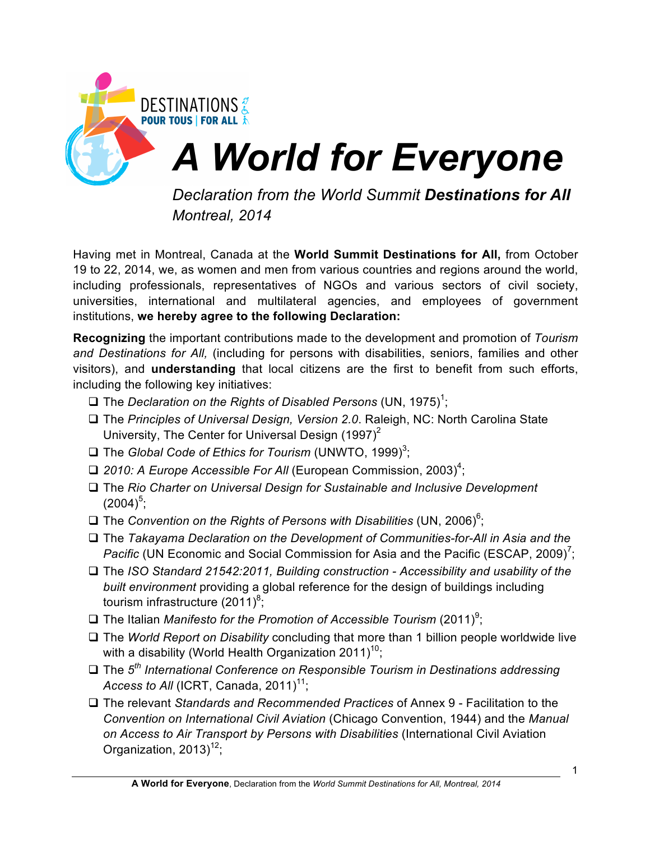

*Montreal, 2014*

Having met in Montreal, Canada at the **World Summit Destinations for All,** from October 19 to 22, 2014, we, as women and men from various countries and regions around the world, including professionals, representatives of NGOs and various sectors of civil society, universities, international and multilateral agencies, and employees of government institutions, **we hereby agree to the following Declaration:**

**Recognizing** the important contributions made to the development and promotion of *Tourism and Destinations for All,* (including for persons with disabilities, seniors, families and other visitors), and **understanding** that local citizens are the first to benefit from such efforts, including the following key initiatives:

- $\square$  The *Declaration on the Rights of Disabled Persons* (UN, 1975)<sup>1</sup>;
- □ The *Principles of Universal Design, Version 2.0*. Raleigh, NC: North Carolina State University, The Center for Universal Design  $(1997)^2$
- □ The *Global Code of Ethics for Tourism* (UNWTO, 1999)<sup>3</sup>;
- □ 2010: A Europe Accessible For All (European Commission, 2003)<sup>4</sup>;
- □ The *Rio Charter on Universal Design for Sustainable and Inclusive Development*  $(2004)^5;$
- □ The *Convention on the Rights of Persons with Disabilities* (UN, 2006)<sup>6</sup>;
- □ The *Takayama Declaration on the Development of Communities-for-All in Asia and the* Pacific (UN Economic and Social Commission for Asia and the Pacific (ESCAP, 2009)<sup>7</sup>;
- □ The *ISO Standard 21542:2011, Building construction Accessibility and usability of the built environment* providing a global reference for the design of buildings including tourism infrastructure (2011) $^8$ ;
- □ The Italian *Manifesto for the Promotion of Accessible Tourism* (2011)<sup>9</sup>;
- □ The *World Report on Disability* concluding that more than 1 billion people worldwide live with a disability (World Health Organization 2011)<sup>10</sup>;
- □ The 5<sup>th</sup> International Conference on Responsible Tourism in Destinations addressing *Access to All* (ICRT, Canada, 2011)<sup>11</sup>;
- □ The relevant *Standards and Recommended Practices* of Annex 9 Facilitation to the *Convention on International Civil Aviation* (Chicago Convention, 1944) and the *Manual on Access to Air Transport by Persons with Disabilities* (International Civil Aviation Organization,  $2013$ <sup>12</sup>;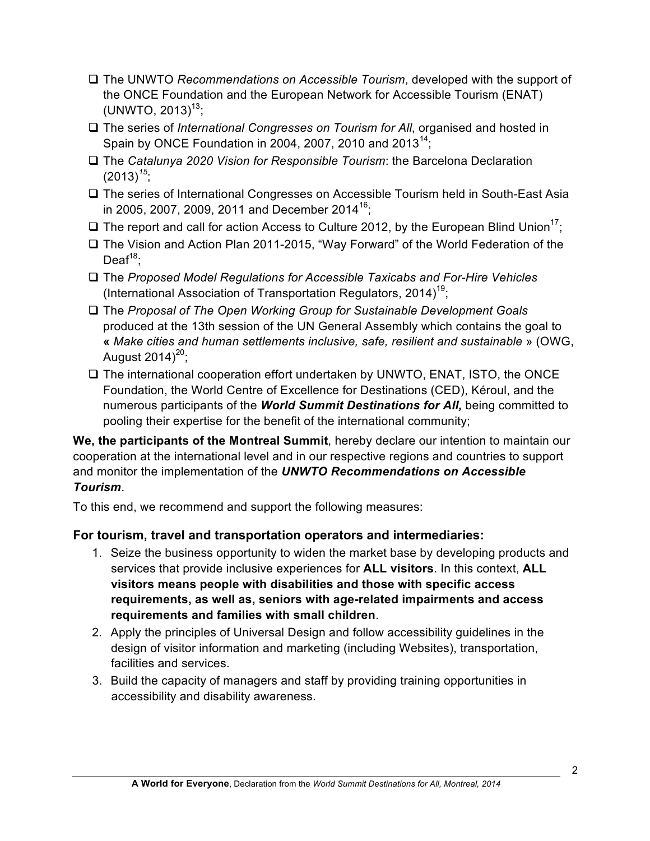- □ The UNWTO *Recommendations on Accessible Tourism*, developed with the support of the ONCE Foundation and the European Network for Accessible Tourism (ENAT)  $(UNWTO, 2013)^{13}$ ;
- □ The series of *International Congresses on Tourism for All*, organised and hosted in Spain by ONCE Foundation in 2004, 2007, 2010 and 2013<sup>14</sup>;
- □ The *Catalunya 2020 Vision for Responsible Tourism*: the Barcelona Declaration  $(2013)^{15}$ ;
- □ The series of International Congresses on Accessible Tourism held in South-East Asia in 2005, 2007, 2009, 2011 and December 2014<sup>16</sup>;
- $\Box$  The report and call for action Access to Culture 2012, by the European Blind Union<sup>17</sup>;
- $\Box$  The Vision and Action Plan 2011-2015, "Way Forward" of the World Federation of the  $Deaf<sup>18</sup>$ ;
- □ The *Proposed Model Regulations for Accessible Taxicabs and For-Hire Vehicles* (International Association of Transportation Regulators, 2014)<sup>19</sup>;
- q The *Proposal of The Open Working Group for Sustainable Development Goals* produced at the 13th session of the UN General Assembly which contains the goal to **«** *Make cities and human settlements inclusive, safe, resilient and sustainable* » (OWG, August  $2014^{20}$ ;
- $\square$  The international cooperation effort undertaken by UNWTO, ENAT, ISTO, the ONCE Foundation, the World Centre of Excellence for Destinations (CED), Kéroul, and the numerous participants of the *World Summit Destinations for All,* being committed to pooling their expertise for the benefit of the international community;

**We, the participants of the Montreal Summit**, hereby declare our intention to maintain our cooperation at the international level and in our respective regions and countries to support and monitor the implementation of the *UNWTO Recommendations on Accessible Tourism*.

To this end, we recommend and support the following measures:

# **For tourism, travel and transportation operators and intermediaries:**

- 1. Seize the business opportunity to widen the market base by developing products and services that provide inclusive experiences for **ALL visitors**. In this context, **ALL visitors means people with disabilities and those with specific access requirements, as well as, seniors with age-related impairments and access requirements and families with small children**.
- 2. Apply the principles of Universal Design and follow accessibility guidelines in the design of visitor information and marketing (including Websites), transportation, facilities and services.
- 3. Build the capacity of managers and staff by providing training opportunities in accessibility and disability awareness.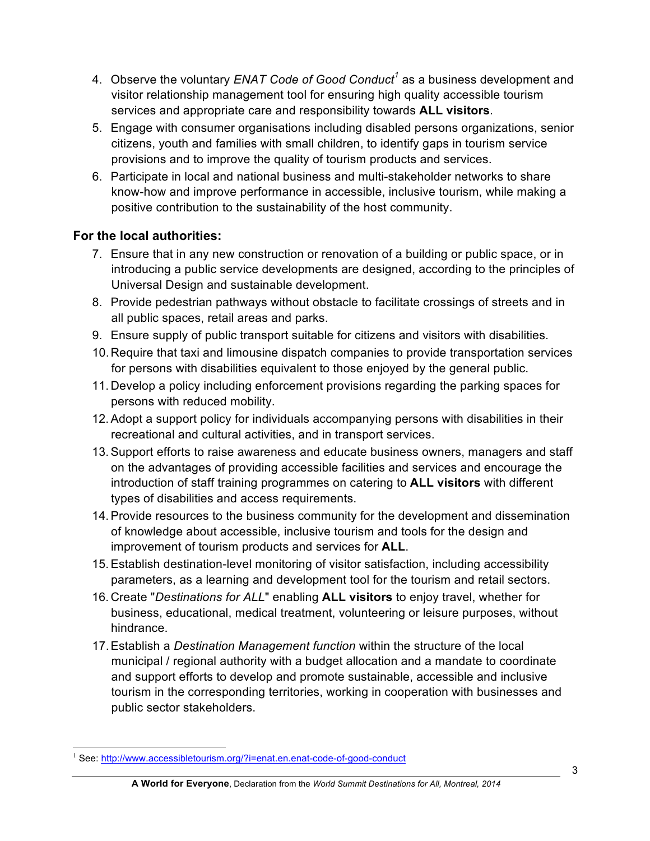- 4. Observe the voluntary *ENAT Code of Good Conduct<sup>1</sup>* as a business development and visitor relationship management tool for ensuring high quality accessible tourism services and appropriate care and responsibility towards **ALL visitors**.
- 5. Engage with consumer organisations including disabled persons organizations, senior citizens, youth and families with small children, to identify gaps in tourism service provisions and to improve the quality of tourism products and services.
- 6. Participate in local and national business and multi-stakeholder networks to share know-how and improve performance in accessible, inclusive tourism, while making a positive contribution to the sustainability of the host community.

### **For the local authorities:**

- 7. Ensure that in any new construction or renovation of a building or public space, or in introducing a public service developments are designed, according to the principles of Universal Design and sustainable development.
- 8. Provide pedestrian pathways without obstacle to facilitate crossings of streets and in all public spaces, retail areas and parks.
- 9. Ensure supply of public transport suitable for citizens and visitors with disabilities.
- 10.Require that taxi and limousine dispatch companies to provide transportation services for persons with disabilities equivalent to those enjoyed by the general public.
- 11.Develop a policy including enforcement provisions regarding the parking spaces for persons with reduced mobility.
- 12.Adopt a support policy for individuals accompanying persons with disabilities in their recreational and cultural activities, and in transport services.
- 13.Support efforts to raise awareness and educate business owners, managers and staff on the advantages of providing accessible facilities and services and encourage the introduction of staff training programmes on catering to **ALL visitors** with different types of disabilities and access requirements.
- 14.Provide resources to the business community for the development and dissemination of knowledge about accessible, inclusive tourism and tools for the design and improvement of tourism products and services for **ALL**.
- 15.Establish destination-level monitoring of visitor satisfaction, including accessibility parameters, as a learning and development tool for the tourism and retail sectors.
- 16.Create "*Destinations for ALL*" enabling **ALL visitors** to enjoy travel, whether for business, educational, medical treatment, volunteering or leisure purposes, without hindrance.
- 17.Establish a *Destination Management function* within the structure of the local municipal / regional authority with a budget allocation and a mandate to coordinate and support efforts to develop and promote sustainable, accessible and inclusive tourism in the corresponding territories, working in cooperation with businesses and public sector stakeholders.

See: http://www.accessibletourism.org/?i=enat.en.enat-code-of-good-conduct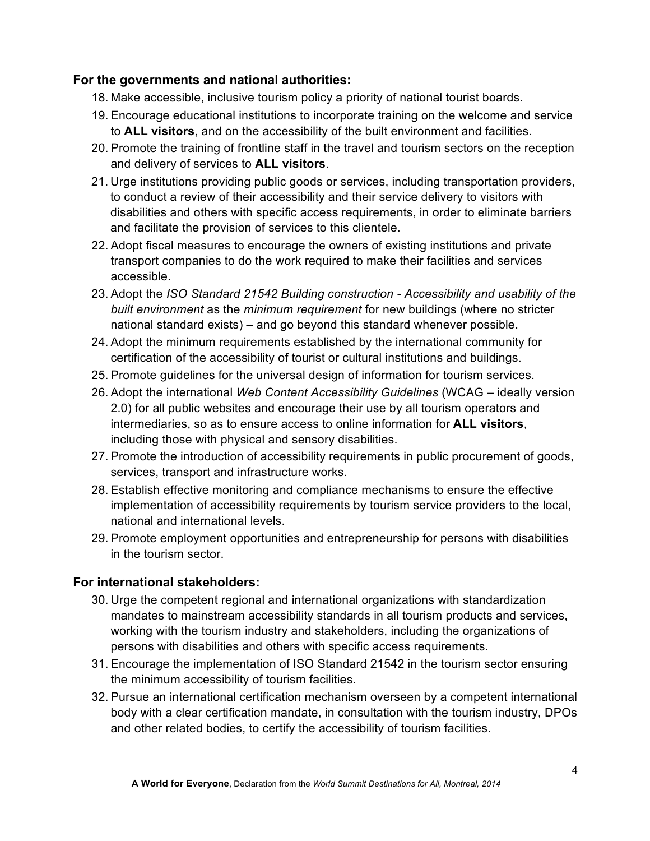#### **For the governments and national authorities:**

- 18. Make accessible, inclusive tourism policy a priority of national tourist boards.
- 19. Encourage educational institutions to incorporate training on the welcome and service to **ALL visitors**, and on the accessibility of the built environment and facilities.
- 20. Promote the training of frontline staff in the travel and tourism sectors on the reception and delivery of services to **ALL visitors**.
- 21. Urge institutions providing public goods or services, including transportation providers, to conduct a review of their accessibility and their service delivery to visitors with disabilities and others with specific access requirements, in order to eliminate barriers and facilitate the provision of services to this clientele.
- 22. Adopt fiscal measures to encourage the owners of existing institutions and private transport companies to do the work required to make their facilities and services accessible.
- 23. Adopt the *ISO Standard 21542 Building construction - Accessibility and usability of the built environment* as the *minimum requirement* for new buildings (where no stricter national standard exists) – and go beyond this standard whenever possible.
- 24. Adopt the minimum requirements established by the international community for certification of the accessibility of tourist or cultural institutions and buildings.
- 25. Promote guidelines for the universal design of information for tourism services.
- 26. Adopt the international *Web Content Accessibility Guidelines* (WCAG ideally version 2.0) for all public websites and encourage their use by all tourism operators and intermediaries, so as to ensure access to online information for **ALL visitors**, including those with physical and sensory disabilities.
- 27. Promote the introduction of accessibility requirements in public procurement of goods, services, transport and infrastructure works.
- 28. Establish effective monitoring and compliance mechanisms to ensure the effective implementation of accessibility requirements by tourism service providers to the local, national and international levels.
- 29. Promote employment opportunities and entrepreneurship for persons with disabilities in the tourism sector.

# **For international stakeholders:**

- 30. Urge the competent regional and international organizations with standardization mandates to mainstream accessibility standards in all tourism products and services, working with the tourism industry and stakeholders, including the organizations of persons with disabilities and others with specific access requirements.
- 31. Encourage the implementation of ISO Standard 21542 in the tourism sector ensuring the minimum accessibility of tourism facilities.
- 32. Pursue an international certification mechanism overseen by a competent international body with a clear certification mandate, in consultation with the tourism industry, DPOs and other related bodies, to certify the accessibility of tourism facilities.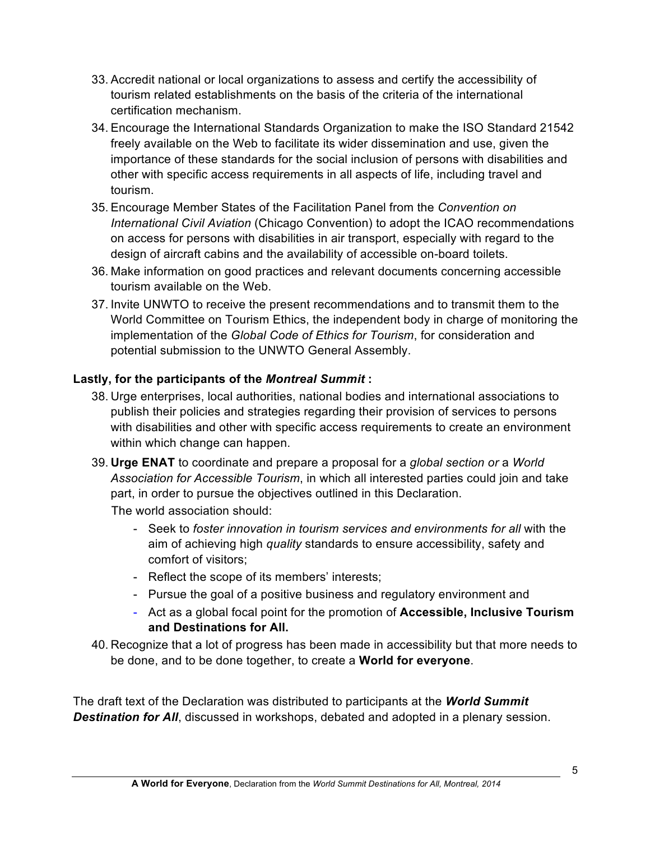- 33. Accredit national or local organizations to assess and certify the accessibility of tourism related establishments on the basis of the criteria of the international certification mechanism.
- 34. Encourage the International Standards Organization to make the ISO Standard 21542 freely available on the Web to facilitate its wider dissemination and use, given the importance of these standards for the social inclusion of persons with disabilities and other with specific access requirements in all aspects of life, including travel and tourism.
- 35. Encourage Member States of the Facilitation Panel from the *Convention on International Civil Aviation* (Chicago Convention) to adopt the ICAO recommendations on access for persons with disabilities in air transport, especially with regard to the design of aircraft cabins and the availability of accessible on-board toilets.
- 36. Make information on good practices and relevant documents concerning accessible tourism available on the Web.
- 37. Invite UNWTO to receive the present recommendations and to transmit them to the World Committee on Tourism Ethics, the independent body in charge of monitoring the implementation of the *Global Code of Ethics for Tourism*, for consideration and potential submission to the UNWTO General Assembly.

#### **Lastly, for the participants of the** *Montreal Summit* **:**

- 38. Urge enterprises, local authorities, national bodies and international associations to publish their policies and strategies regarding their provision of services to persons with disabilities and other with specific access requirements to create an environment within which change can happen.
- 39. **Urge ENAT** to coordinate and prepare a proposal for a *global section or* a *World Association for Accessible Tourism*, in which all interested parties could join and take part, in order to pursue the objectives outlined in this Declaration.

The world association should:

- Seek to *foster innovation in tourism services and environments for all* with the aim of achieving high *quality* standards to ensure accessibility, safety and comfort of visitors;
- Reflect the scope of its members' interests;
- Pursue the goal of a positive business and regulatory environment and
- Act as a global focal point for the promotion of **Accessible, Inclusive Tourism and Destinations for All.**
- 40. Recognize that a lot of progress has been made in accessibility but that more needs to be done, and to be done together, to create a **World for everyone**.

The draft text of the Declaration was distributed to participants at the *World Summit Destination for All*, discussed in workshops, debated and adopted in a plenary session.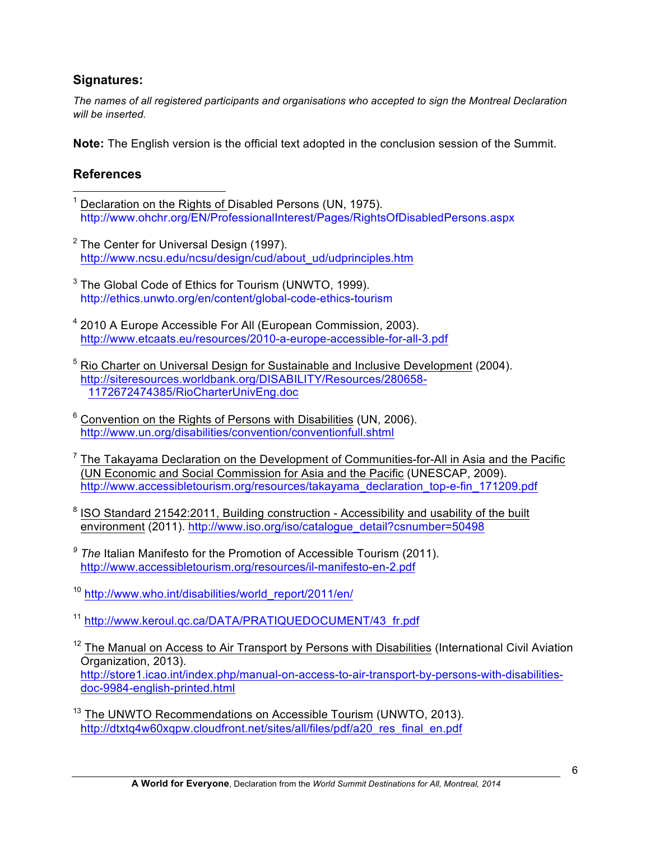#### **Signatures:**

*The names of all registered participants and organisations who accepted to sign the Montreal Declaration will be inserted.*

**Note:** The English version is the official text adopted in the conclusion session of the Summit.

# **References**

- Declaration on the Rights of Disabled Persons (UN, 1975). http://www.ohchr.org/EN/ProfessionalInterest/Pages/RightsOfDisabledPersons.aspx
- $2$  The Center for Universal Design (1997). http://www.ncsu.edu/ncsu/design/cud/about\_ud/udprinciples.htm
- $3$  The Global Code of Ethics for Tourism (UNWTO, 1999). http://ethics.unwto.org/en/content/global-code-ethics-tourism
- <sup>4</sup> 2010 A Europe Accessible For All (European Commission, 2003). http://www.etcaats.eu/resources/2010-a-europe-accessible-for-all-3.pdf
- <sup>5</sup> Rio Charter on Universal Design for Sustainable and Inclusive Development (2004). http://siteresources.worldbank.org/DISABILITY/Resources/280658- 1172672474385/RioCharterUnivEng.doc
- $6$  Convention on the Rights of Persons with Disabilities (UN, 2006). http://www.un.org/disabilities/convention/conventionfull.shtml
- $7$  The Takayama Declaration on the Development of Communities-for-All in Asia and the Pacific (UN Economic and Social Commission for Asia and the Pacific (UNESCAP, 2009). http://www.accessibletourism.org/resources/takayama\_declaration\_top-e-fin\_171209.pdf
- <sup>8</sup> ISO Standard 21542:2011, Building construction Accessibility and usability of the built environment (2011). http://www.iso.org/iso/catalogue\_detail?csnumber=50498
- *<sup>9</sup> The* Italian Manifesto for the Promotion of Accessible Tourism (2011). http://www.accessibletourism.org/resources/il-manifesto-en-2.pdf
- <sup>10</sup> http://www.who.int/disabilities/world\_report/2011/en/
- <sup>11</sup> http://www.keroul.qc.ca/DATA/PRATIQUEDOCUMENT/43\_fr.pdf
- $12$  The Manual on Access to Air Transport by Persons with Disabilities (International Civil Aviation Organization, 2013). http://store1.icao.int/index.php/manual-on-access-to-air-transport-by-persons-with-disabilitiesdoc-9984-english-printed.html
- <sup>13</sup> The UNWTO Recommendations on Accessible Tourism (UNWTO, 2013). http://dtxtq4w60xqpw.cloudfront.net/sites/all/files/pdf/a20\_res\_final\_en.pdf